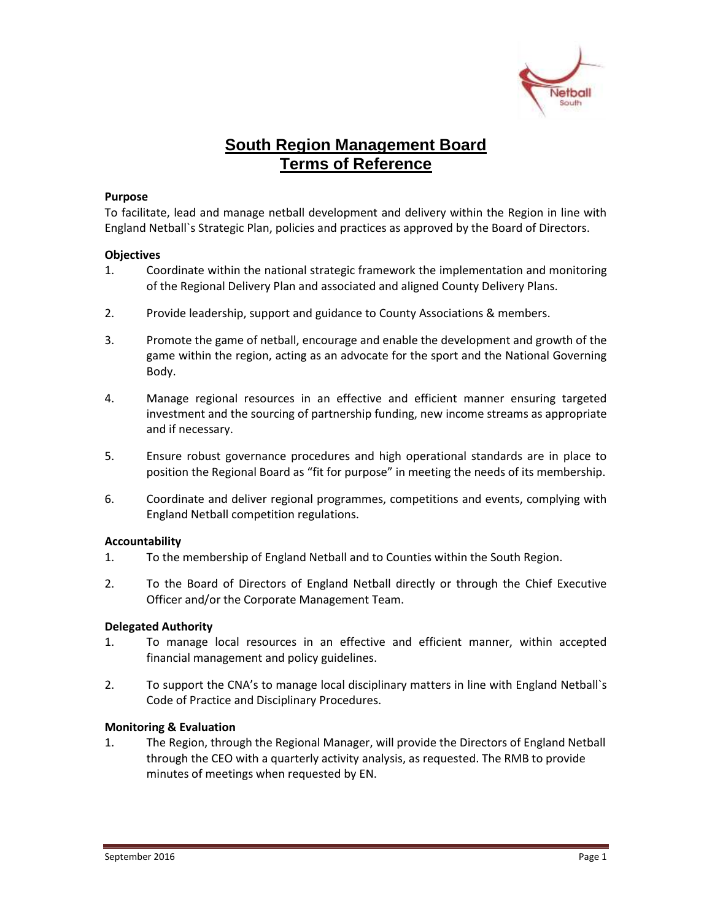

# **South Region Management Board Terms of Reference**

#### **Purpose**

To facilitate, lead and manage netball development and delivery within the Region in line with England Netball`s Strategic Plan, policies and practices as approved by the Board of Directors.

## **Objectives**

- 1. Coordinate within the national strategic framework the implementation and monitoring of the Regional Delivery Plan and associated and aligned County Delivery Plans.
- 2. Provide leadership, support and guidance to County Associations & members.
- 3. Promote the game of netball, encourage and enable the development and growth of the game within the region, acting as an advocate for the sport and the National Governing Body.
- 4. Manage regional resources in an effective and efficient manner ensuring targeted investment and the sourcing of partnership funding, new income streams as appropriate and if necessary.
- 5. Ensure robust governance procedures and high operational standards are in place to position the Regional Board as "fit for purpose" in meeting the needs of its membership.
- 6. Coordinate and deliver regional programmes, competitions and events, complying with England Netball competition regulations.

## **Accountability**

- 1. To the membership of England Netball and to Counties within the South Region.
- 2. To the Board of Directors of England Netball directly or through the Chief Executive Officer and/or the Corporate Management Team.

## **Delegated Authority**

- 1. To manage local resources in an effective and efficient manner, within accepted financial management and policy guidelines.
- 2. To support the CNA's to manage local disciplinary matters in line with England Netball`s Code of Practice and Disciplinary Procedures.

## **Monitoring & Evaluation**

1. The Region, through the Regional Manager, will provide the Directors of England Netball through the CEO with a quarterly activity analysis, as requested. The RMB to provide minutes of meetings when requested by EN.